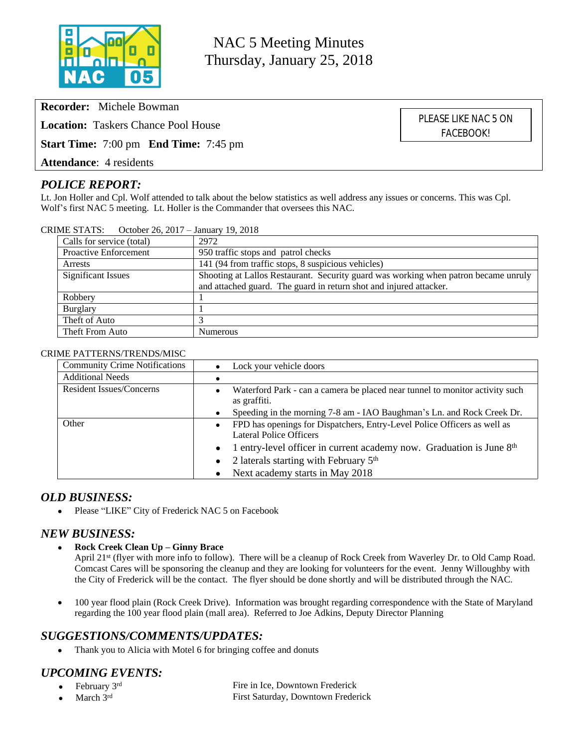

NAC 5 Meeting Minutes Thursday, January 25, 2018

> PLEASE LIKE NAC 5 ON FACEBOOK!

**Recorder:** Michele Bowman

**Location:** Taskers Chance Pool House

**Start Time:** 7:00 pm **End Time:** 7:45 pm

**Attendance**: 4 residents

## *POLICE REPORT:*

Lt. Jon Holler and Cpl. Wolf attended to talk about the below statistics as well address any issues or concerns. This was Cpl. Wolf's first NAC 5 meeting. Lt. Holler is the Commander that oversees this NAC.

| Calls for service (total)    | 2972                                                                                |
|------------------------------|-------------------------------------------------------------------------------------|
| <b>Proactive Enforcement</b> | 950 traffic stops and patrol checks                                                 |
| Arrests                      | 141 (94 from traffic stops, 8 suspicious vehicles)                                  |
| Significant Issues           | Shooting at Lallos Restaurant. Security guard was working when patron became unruly |
|                              | and attached guard. The guard in return shot and injured attacker.                  |
| Robbery                      |                                                                                     |
| Burglary                     |                                                                                     |
| Theft of Auto                |                                                                                     |
| Theft From Auto              | Numerous                                                                            |

### CRIME STATS: October 26, 2017 – January 19, 2018

#### CRIME PATTERNS/TRENDS/MISC

| <b>Community Crime Notifications</b> | Lock your vehicle doors                                                                                  |
|--------------------------------------|----------------------------------------------------------------------------------------------------------|
| <b>Additional Needs</b>              |                                                                                                          |
| <b>Resident Issues/Concerns</b>      | Waterford Park - can a camera be placed near tunnel to monitor activity such<br>٠<br>as graffiti.        |
|                                      | Speeding in the morning 7-8 am - IAO Baughman's Ln. and Rock Creek Dr.                                   |
| Other                                | FPD has openings for Dispatchers, Entry-Level Police Officers as well as<br>٠<br>Lateral Police Officers |
|                                      | 1 entry-level officer in current academy now. Graduation is June 8th                                     |
|                                      | 2 laterals starting with February 5 <sup>th</sup><br>$\bullet$                                           |
|                                      | Next academy starts in May 2018                                                                          |

### *OLD BUSINESS:*

• Please "LIKE" City of Frederick NAC 5 on Facebook

### *NEW BUSINESS:*

**Rock Creek Clean Up – Ginny Brace**

April 21st (flyer with more info to follow). There will be a cleanup of Rock Creek from Waverley Dr. to Old Camp Road. Comcast Cares will be sponsoring the cleanup and they are looking for volunteers for the event. Jenny Willoughby with the City of Frederick will be the contact. The flyer should be done shortly and will be distributed through the NAC.

• 100 year flood plain (Rock Creek Drive). Information was brought regarding correspondence with the State of Maryland regarding the 100 year flood plain (mall area). Referred to Joe Adkins, Deputy Director Planning

### *SUGGESTIONS/COMMENTS/UPDATES:*

• Thank you to Alicia with Motel 6 for bringing coffee and donuts

# *UPCOMING EVENTS:*

- February 3rd Fire in Ice, Downtown Frederick March 3rd First Saturday, Downtown Frederick
	-